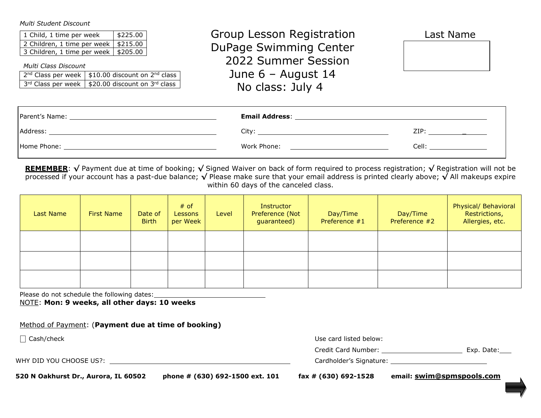*Multi Student Discount* 

| 1 Child, 1 time per week                | \$225.00 |
|-----------------------------------------|----------|
| 2 Children, 1 time per week   $$215.00$ |          |
| 3 Children, 1 time per week   \$205.00  |          |

*Multi Class Discount*

| $2^{nd}$ Class per week   \$10.00 discount on $2^{nd}$ class |
|--------------------------------------------------------------|
| $3^{rd}$ Class per week   \$20.00 discount on $3^{rd}$ class |

 Group Lesson Registration Last Name DuPage Swimming Center 2022 Summer Session June 6 – August 14 No class: July 4



| Parent's Name: _ | <b>Email Address:</b> |       |
|------------------|-----------------------|-------|
| Address:         | Citv:                 | ZIP:  |
| Home Phone:      | Work Phone:           | Cell: |

**REMEMBER**: **√** Payment due at time of booking; **√** Signed Waiver on back of form required to process registration; **√** Registration will not be processed if your account has a past-due balance; **√** Please make sure that your email address is printed clearly above; **√** All makeups expire within 60 days of the canceled class.

| Last Name | <b>First Name</b> | Date of<br><b>Birth</b> | $#$ of<br><b>Lessons</b><br>per Week | Level | Instructor<br>Preference (Not<br>guaranteed) | Day/Time<br>Preference #1 | Day/Time<br>Preference #2 | Physical/ Behavioral<br>Restrictions,<br>Allergies, etc. |
|-----------|-------------------|-------------------------|--------------------------------------|-------|----------------------------------------------|---------------------------|---------------------------|----------------------------------------------------------|
|           |                   |                         |                                      |       |                                              |                           |                           |                                                          |
|           |                   |                         |                                      |       |                                              |                           |                           |                                                          |
|           |                   |                         |                                      |       |                                              |                           |                           |                                                          |

Please do not schedule the following dates:

NOTE: **Mon: 9 weeks, all other days: 10 weeks** 

| Method of Payment: (Payment due at time of booking) |  |  |
|-----------------------------------------------------|--|--|
|                                                     |  |  |

 $\Box$  Cash/check

WHY DID YOU CHOOSE US?: Cardholder's Signature:

| Cash/check | Use card listed below: |              |
|------------|------------------------|--------------|
|            | Credit Card Number:    | Exp<br>Date: |

|  |  | Exp. Date: |  |
|--|--|------------|--|
|--|--|------------|--|

**520 N Oakhurst Dr., Aurora, IL 60502 phone # (630) 692-1500 ext. 101 fax # (630) 692-1528 email: swim@spmspools.com**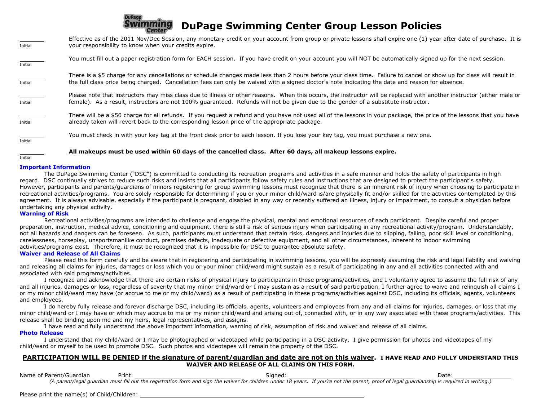# **DuPage DuPage Swimming Center Group Lesson Policies**

| Initial | Effective as of the 2011 Nov/Dec Session, any monetary credit on your account from group or private lessons shall expire one (1) year after date of purchase. It is<br>your responsibility to know when your credits expire.                                                                                             |
|---------|--------------------------------------------------------------------------------------------------------------------------------------------------------------------------------------------------------------------------------------------------------------------------------------------------------------------------|
| Initial | You must fill out a paper registration form for EACH session. If you have credit on your account you will NOT be automatically signed up for the next session.                                                                                                                                                           |
| Initial | There is a \$5 charge for any cancellations or schedule changes made less than 2 hours before your class time. Failure to cancel or show up for class will result in<br>the full class price being charged. Cancellation fees can only be waived with a signed doctor's note indicating the date and reason for absence. |
| Initial | Please note that instructors may miss class due to illness or other reasons. When this occurs, the instructor will be replaced with another instructor (either male or<br>female). As a result, instructors are not 100% guaranteed. Refunds will not be given due to the gender of a substitute instructor.             |
| Initial | There will be a \$50 charge for all refunds. If you request a refund and you have not used all of the lessons in your package, the price of the lessons that you have<br>already taken will revert back to the corresponding lesson price of the appropriate package.                                                    |
| Initial | You must check in with your key tag at the front desk prior to each lesson. If you lose your key tag, you must purchase a new one.                                                                                                                                                                                       |
|         | All makeups must be used within 60 days of the cancelled class. After 60 days, all makeup lessons expire.                                                                                                                                                                                                                |

Initial

#### **Important Information**

 The DuPage Swimming Center ("DSC") is committed to conducting its recreation programs and activities in a safe manner and holds the safety of participants in high regard. DSC continually strives to reduce such risks and insists that all participants follow safety rules and instructions that are designed to protect the participant's safety. However, participants and parents/guardians of minors registering for group swimming lessons must recognize that there is an inherent risk of injury when choosing to participate in recreational activities/programs. You are solely responsible for determining if you or your minor child/ward is/are physically fit and/or skilled for the activities contemplated by this agreement. It is always advisable, especially if the participant is pregnant, disabled in any way or recently suffered an illness, injury or impairment, to consult a physician before undertaking any physical activity.

#### **Warning of Risk**

 Recreational activities/programs are intended to challenge and engage the physical, mental and emotional resources of each participant. Despite careful and proper preparation, instruction, medical advice, conditioning and equipment, there is still a risk of serious injury when participating in any recreational activity/program. Understandably, not all hazards and dangers can be foreseen. As such, participants must understand that certain risks, dangers and injuries due to slipping, falling, poor skill level or conditioning, carelessness, horseplay, unsportsmanlike conduct, premises defects, inadequate or defective equipment, and all other circumstances, inherent to indoor swimming activities/programs exist. Therefore, it must be recognized that it is impossible for DSC to guarantee absolute safety.

### **Waiver and Release of All Claims**

Please read this form carefully and be aware that in registering and participating in swimming lessons, you will be expressly assuming the risk and legal liability and waiving and releasing all claims for injuries, damages or loss which you or your minor child/ward might sustain as a result of participating in any and all activities connected with and associated with said programs/activities.

 I recognize and acknowledge that there are certain risks of physical injury to participants in these programs/activities, and I voluntarily agree to assume the full risk of any and all injuries, damages or loss, regardless of severity that my minor child/ward or I may sustain as a result of said participation. I further agree to waive and relinquish all claims I or my minor child/ward may have (or accrue to me or my child/ward) as a result of participating in these programs/activities against DSC, including its officials, agents, volunteers and employees.

 I do hereby fully release and forever discharge DSC, including its officials, agents, volunteers and employees from any and all claims for injuries, damages, or loss that my minor child/ward or I may have or which may accrue to me or my minor child/ward and arising out of, connected with, or in any way associated with these programs/activities. This release shall be binding upon me and my heirs, legal representatives, and assigns.

I have read and fully understand the above important information, warning of risk, assumption of risk and waiver and release of all claims.

#### **Photo Release**

 I understand that my child/ward or I may be photographed or videotaped while participating in a DSC activity. I give permission for photos and videotapes of my child/ward or myself to be used to promote DSC. Such photos and videotapes will remain the property of the DSC.

## **PARTICIPATION WILL BE DENIED if the signature of parent/guardian and date are not on this waiver. I HAVE READ AND FULLY UNDERSTAND THIS WAIVER AND RELEASE OF ALL CLAIMS ON THIS FORM.**

| Name of Parent/Guardian | Print | Sianed:                                                                                                                                                                                      | Date |
|-------------------------|-------|----------------------------------------------------------------------------------------------------------------------------------------------------------------------------------------------|------|
|                         |       | (A parent/legal quardian must fill out the registration form and sign the waiver for children under 18 years. If you're not the parent, proof of legal quardianship is required in writing.) |      |

Please print the name(s) of Child/Children: